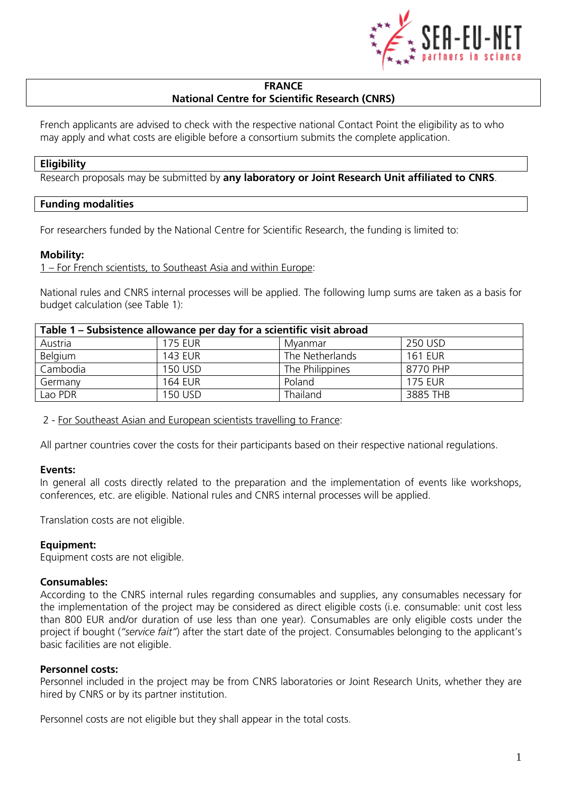

#### **FRANCE National Centre for Scientific Research (CNRS)**

French applicants are advised to check with the respective national Contact Point the eligibility as to who may apply and what costs are eligible before a consortium submits the complete application.

#### **Eligibility**

Research proposals may be submitted by **any laboratory or Joint Research Unit affiliated to CNRS**.

## **Funding modalities**

For researchers funded by the National Centre for Scientific Research, the funding is limited to:

## **Mobility:**

1 – For French scientists, to Southeast Asia and within Europe:

National rules and CNRS internal processes will be applied. The following lump sums are taken as a basis for budget calculation (see Table 1):

| Table 1 – Subsistence allowance per day for a scientific visit abroad |                |                 |                |
|-----------------------------------------------------------------------|----------------|-----------------|----------------|
| Austria                                                               | <b>175 EUR</b> | Myanmar         | 250 USD        |
| Belgium                                                               | <b>143 EUR</b> | The Netherlands | <b>161 EUR</b> |
| Cambodia                                                              | <b>150 USD</b> | The Philippines | 8770 PHP       |
| Germany                                                               | <b>164 EUR</b> | Poland          | <b>175 EUR</b> |
| Lao PDR                                                               | 150 USD        | Thailand        | 3885 THB       |

2 - For Southeast Asian and European scientists travelling to France:

All partner countries cover the costs for their participants based on their respective national regulations.

#### **Events:**

In general all costs directly related to the preparation and the implementation of events like workshops, conferences, etc. are eligible. National rules and CNRS internal processes will be applied.

Translation costs are not eligible.

#### **Equipment:**

Equipment costs are not eligible.

#### **Consumables:**

According to the CNRS internal rules regarding consumables and supplies, any consumables necessary for the implementation of the project may be considered as direct eligible costs (i.e. consumable: unit cost less than 800 EUR and/or duration of use less than one year). Consumables are only eligible costs under the project if bought (*"service fait"*) after the start date of the project. Consumables belonging to the applicant's basic facilities are not eligible.

#### **Personnel costs:**

Personnel included in the project may be from CNRS laboratories or Joint Research Units, whether they are hired by CNRS or by its partner institution.

Personnel costs are not eligible but they shall appear in the total costs.